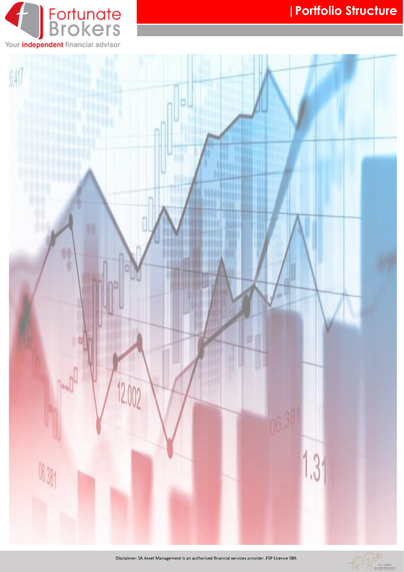



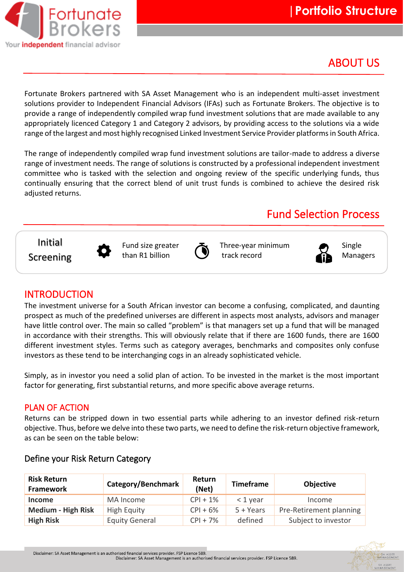

## ABOUT US

Fortunate Brokers partnered with SA Asset Management who is an independent multi-asset investment solutions provider to Independent Financial Advisors (IFAs) such as Fortunate Brokers. The objective is to provide a range of independently compiled wrap fund investment solutions that are made available to any appropriately licenced Category 1 and Category 2 advisors, by providing access to the solutions via a wide range of the largest and most highly recognised Linked Investment Service Provider platforms in South Africa.

The range of independently compiled wrap fund investment solutions are tailor-made to address a diverse range of investment needs. The range of solutions is constructed by a professional independent investment committee who is tasked with the selection and ongoing review of the specific underlying funds, thus continually ensuring that the correct blend of unit trust funds is combined to achieve the desired risk adjusted returns.

## Fund Selection Process

Initial





Fund size greater  $\sum$  Three-year minimum  $\sum$  Single



## INTRODUCTION

The investment universe for a South African investor can become a confusing, complicated, and daunting prospect as much of the predefined universes are different in aspects most analysts, advisors and manager have little control over. The main so called "problem" is that managers set up a fund that will be managed in accordance with their strengths. This will obviously relate that if there are 1600 funds, there are 1600 different investment styles. Terms such as category averages, benchmarks and composites only confuse investors as these tend to be interchanging cogs in an already sophisticated vehicle.

Simply, as in investor you need a solid plan of action. To be invested in the market is the most important factor for generating, first substantial returns, and more specific above average returns.

## PLAN OF ACTION

Returns can be stripped down in two essential parts while adhering to an investor defined risk-return objective. Thus, before we delve into these two parts, we need to define the risk-return objective framework, as can be seen on the table below:

| <b>Risk Return</b><br><b>Framework</b> | Category/Benchmark    | Return<br>(Net) | <b>Timeframe</b> | <b>Objective</b>        |
|----------------------------------------|-----------------------|-----------------|------------------|-------------------------|
| <b>Income</b>                          | MA Income             | $CPI + 1%$      | $<$ 1 year       | Income                  |
| <b>Medium - High Risk</b>              | High Equity           | $CPI + 6%$      | $5 + Years$      | Pre-Retirement planning |
| <b>High Risk</b>                       | <b>Equity General</b> | $CPI + 7\%$     | defined          | Subject to investor     |

## Define your Risk Return Category

Disclaimer: SA Asset Management is an authorised financial services provider. FSP Licence 589.<br>Disclaimer: SA Asset Management is an authorised financial services provider. FSP Licence 589.

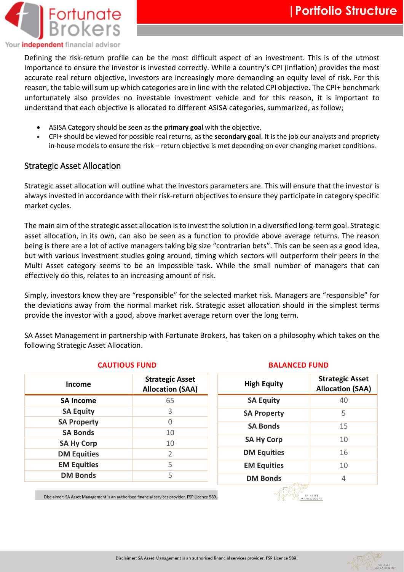

Defining the risk-return profile can be the most difficult aspect of an investment. This is of the utmost importance to ensure the investor is invested correctly. While a country's CPI (inflation) provides the most accurate real return objective, investors are increasingly more demanding an equity level of risk. For this reason, the table will sum up which categories are in line with the related CPI objective. The CPI+ benchmark unfortunately also provides no investable investment vehicle and for this reason, it is important to understand that each objective is allocated to different ASISA categories, summarized, as follow;

- ASISA Category should be seen as the **primary goal** with the objective.
- CPI+ should be viewed for possible real returns, as the **secondary goal**. It is the job our analysts and propriety in-house models to ensure the risk – return objective is met depending on ever changing market conditions.

## Strategic Asset Allocation

Strategic asset allocation will outline what the investors parameters are. This will ensure that the investor is always invested in accordance with their risk-return objectives to ensure they participate in category specific market cycles.

The main aim of the strategic asset allocation is to invest the solution in a diversified long-term goal. Strategic asset allocation, in its own, can also be seen as a function to provide above average returns. The reason being is there are a lot of active managers taking big size "contrarian bets". This can be seen as a good idea, but with various investment studies going around, timing which sectors will outperform their peers in the Multi Asset category seems to be an impossible task. While the small number of managers that can effectively do this, relates to an increasing amount of risk.

Simply, investors know they are "responsible" for the selected market risk. Managers are "responsible" for the deviations away from the normal market risk. Strategic asset allocation should in the simplest terms provide the investor with a good, above market average return over the long term.

SA Asset Management in partnership with Fortunate Brokers, has taken on a philosophy which takes on the following Strategic Asset Allocation.

| Income             | <b>Strategic Asset</b><br><b>Allocation (SAA)</b> |
|--------------------|---------------------------------------------------|
| <b>SA Income</b>   | 65                                                |
| <b>SA Equity</b>   | 3                                                 |
| <b>SA Property</b> | Ω                                                 |
| <b>SA Bonds</b>    | 10                                                |
| <b>SA Hy Corp</b>  | 10                                                |
| <b>DM Equities</b> | $\overline{2}$                                    |
| <b>EM Equities</b> | 5                                                 |
| <b>DM Bonds</b>    | 5                                                 |

### **CAUTIOUS FUND BALANCED FUND**

| <b>High Equity</b> | <b>Strategic Asset</b><br><b>Allocation (SAA)</b> |  |  |  |  |
|--------------------|---------------------------------------------------|--|--|--|--|
| <b>SA Equity</b>   | 40                                                |  |  |  |  |
| <b>SA Property</b> | 5                                                 |  |  |  |  |
| <b>SA Bonds</b>    | 15                                                |  |  |  |  |
| <b>SA Hy Corp</b>  | 10                                                |  |  |  |  |
| <b>DM Equities</b> | 16                                                |  |  |  |  |
| <b>EM Equities</b> | 10                                                |  |  |  |  |
| <b>DM Bonds</b>    | 4                                                 |  |  |  |  |
|                    |                                                   |  |  |  |  |

Disclaimer: SA Asset Management is an authorised financial services provider. FSP Licence 589.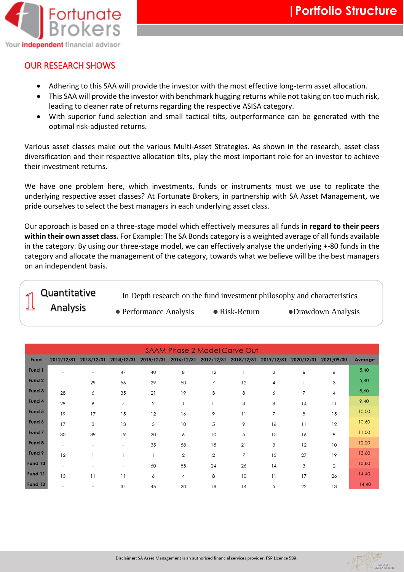

SA ASSET

## OUR RESEARCH SHOWS

- Adhering to this SAA will provide the investor with the most effective long-term asset allocation.
- This SAA will provide the investor with benchmark hugging returns while not taking on too much risk, leading to cleaner rate of returns regarding the respective ASISA category.
- With superior fund selection and small tactical tilts, outperformance can be generated with the optimal risk-adjusted returns.

Various asset classes make out the various Multi-Asset Strategies. As shown in the research, asset class diversification and their respective allocation tilts, play the most important role for an investor to achieve their investment returns.

We have one problem here, which investments, funds or instruments must we use to replicate the underlying respective asset classes? At Fortunate Brokers, in partnership with SA Asset Management, we pride ourselves to select the best managers in each underlying asset class.

Our approach is based on a three-stage model which effectively measures all funds **in regard to their peers within their own asset class.** For Example: The SA Bonds category is a weighted average of all funds available in the category. By using our three-stage model, we can effectively analyse the underlying +-80 funds in the category and allocate the management of the category, towards what we believe will be the best managers on an independent basis.

In Depth research on the fund investment philosophy and characteristics • Performance Analysis • Risk-Return • Drawdown Analysis Quantitative Analysis

| <b>SAAM Phase 2 Model Carve Out</b> |                          |                          |                          |                |                |                       |            |                |            |                |         |
|-------------------------------------|--------------------------|--------------------------|--------------------------|----------------|----------------|-----------------------|------------|----------------|------------|----------------|---------|
| Fund                                | 2012/12/31               | 2013/12/31               | 2014/12/31               | 2015/12/31     |                | 2016/12/31 2017/12/31 | 2018/12/31 | 2019/12/31     | 2020/12/31 | 2021/09/30     | Average |
| Fund 1                              |                          | $\overline{\phantom{a}}$ | 47                       | 40             | 8              | 12                    |            | $\mathbf{2}$   | 6          | 6              | 5,40    |
| Fund 2                              |                          | 29                       | 56                       | 29             | 50             | $\overline{7}$        | 12         | $\overline{4}$ |            | 3              | 5,40    |
| Fund 3                              | 28                       | 6                        | 35                       | 21             | 19             | 3                     | 8          | 6              | 7          | 4              | 5,60    |
| Fund 4                              | 29                       | 9                        | $\overline{7}$           | $\overline{2}$ |                | 11                    | 3          | 8              | 14         | 11             | 9,40    |
| Fund 5                              | 19                       | 17                       | 15                       | 12             | 16             | 9                     | 11         | 7              | 8          | 15             | 10,00   |
| Fund 6                              | 17                       | 3                        | 13                       | 3              | 10             | 5                     | 9          | 16             | 11         | 12             | 10,60   |
| Fund 7                              | 30                       | 39                       | 19                       | 20             | 6              | 10                    | 5          | 15             | 16         | 9              | 11,00   |
| Fund 8                              | $\overline{\phantom{a}}$ | $\overline{\phantom{a}}$ | $\overline{\phantom{a}}$ | 35             | 58             | 15                    | 21         | 3              | 12         | 10             | 12,20   |
| Fund 9                              | 12                       |                          |                          |                | $\overline{2}$ | $\overline{2}$        | 7          | 13             | 27         | 19             | 13,60   |
| Fund 10                             | $\overline{\phantom{a}}$ | $\overline{\phantom{a}}$ | $\overline{\phantom{a}}$ | 60             | 55             | 24                    | 26         | 14             | 3          | $\overline{2}$ | 13,80   |
| Fund 11                             | 13                       | 11                       | 11                       | 6              | $\overline{4}$ | 8                     | 10         | 11             | 17         | 26             | 14,40   |
| Fund 12                             |                          | $\overline{\phantom{0}}$ | 34                       | 46             | 20             | 18                    | 14         | 5              | 22         | 13             | 14,40   |

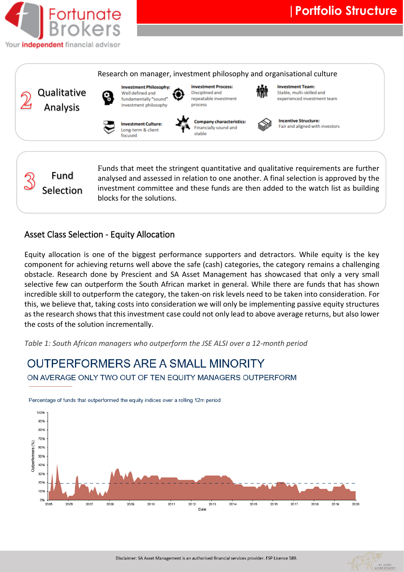

#### **Investment Process: Investment Team: Investment Philosophy:** Qualitative Well defined and Disciplined and Stable, multi-skilled and fundamentally "sound" repeatable investment experienced investment team Investment philosophy process Analysis**Company characteristics: Incentive Structure: Investment Culture:** Fair and aligned with investors Financially sound and Long-term & client stable focused Funds that meet the stringent quantitative and qualitative requirements are further Fund analysed and assessed in relation to one another. A final selection is approved by the Selection investment committee and these funds are then added to the watch list as building

Research on manager, investment philosophy and organisational culture

## Asset Class Selection - Equity Allocation

blocks for the solutions.

Equity allocation is one of the biggest performance supporters and detractors. While equity is the key component for achieving returns well above the safe (cash) categories, the category remains a challenging obstacle. Research done by Prescient and SA Asset Management has showcased that only a very small selective few can outperform the South African market in general. While there are funds that has shown incredible skill to outperform the category, the taken-on risk levels need to be taken into consideration. For this, we believe that, taking costs into consideration we will only be implementing passive equity structures as the research shows that this investment case could not only lead to above average returns, but also lower the costs of the solution incrementally.

*Table 1: South African managers who outperform the JSE ALSI over a 12-month period*

## **OUTPERFORMERS ARE A SMALL MINORITY** ON AVERAGE ONLY TWO OUT OF TEN EQUITY MANAGERS OUTPERFORM



Percentage of funds that outperformed the equity indices over a rolling 12m period

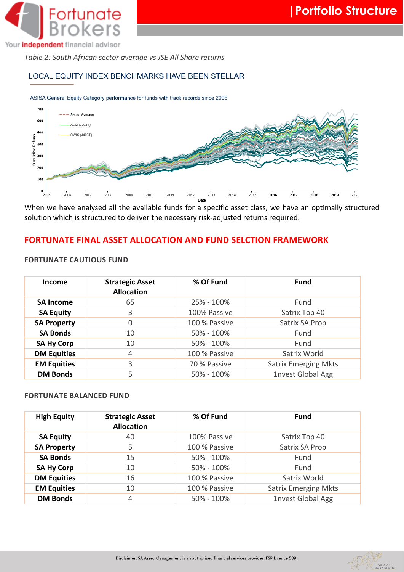

Your *independent* financial advisor

*Table 2: South African sector average vs JSE All Share returns*

### LOCAL EQUITY INDEX BENCHMARKS HAVE BEEN STELLAR

#### ASISA General Equity Category performance for funds with track records since 2005



When we have analysed all the available funds for a specific asset class, we have an optimally structured solution which is structured to deliver the necessary risk-adjusted returns required.

## **FORTUNATE FINAL ASSET ALLOCATION AND FUND SELCTION FRAMEWORK**

### **FORTUNATE CAUTIOUS FUND**

| <b>Income</b>      | <b>Strategic Asset</b><br><b>Allocation</b> | % Of Fund     | <b>Fund</b>                 |
|--------------------|---------------------------------------------|---------------|-----------------------------|
| <b>SA Income</b>   | 65                                          | 25% - 100%    | Fund                        |
| <b>SA Equity</b>   | 3                                           | 100% Passive  | Satrix Top 40               |
| <b>SA Property</b> | $\Omega$                                    | 100 % Passive | Satrix SA Prop              |
| <b>SA Bonds</b>    | 10                                          | 50% - 100%    | Fund                        |
| <b>SA Hy Corp</b>  | 10                                          | 50% - 100%    | Fund                        |
| <b>DM Equities</b> | 4                                           | 100 % Passive | Satrix World                |
| <b>EM Equities</b> | 3                                           | 70 % Passive  | <b>Satrix Emerging Mkts</b> |
| <b>DM Bonds</b>    | 5                                           | 50% - 100%    | <b>1nvest Global Agg</b>    |

#### **FORTUNATE BALANCED FUND**

| <b>High Equity</b> | <b>Strategic Asset</b><br><b>Allocation</b> | % Of Fund     | <b>Fund</b>                 |
|--------------------|---------------------------------------------|---------------|-----------------------------|
| <b>SA Equity</b>   | 40                                          | 100% Passive  | Satrix Top 40               |
| <b>SA Property</b> | 5                                           | 100 % Passive | Satrix SA Prop              |
| <b>SA Bonds</b>    | 15                                          | 50% - 100%    | Fund                        |
| <b>SA Hy Corp</b>  | 10                                          | 50% - 100%    | Fund                        |
| <b>DM Equities</b> | 16                                          | 100 % Passive | Satrix World                |
| <b>EM Equities</b> | 10                                          | 100 % Passive | <b>Satrix Emerging Mkts</b> |
| <b>DM Bonds</b>    | 4                                           | 50% - 100%    | <b>1nvest Global Agg</b>    |